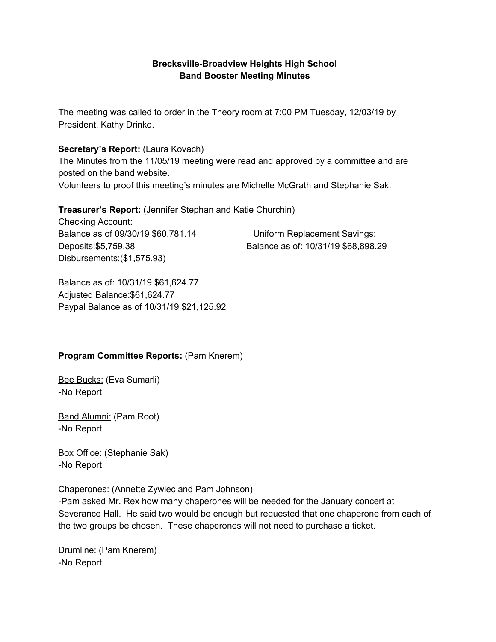### **Brecksville-Broadview Heights High Schoo**l **Band Booster Meeting Minutes**

The meeting was called to order in the Theory room at 7:00 PM Tuesday, 12/03/19 by President, Kathy Drinko.

### **Secretary's Report:** (Laura Kovach)

The Minutes from the 11/05/19 meeting were read and approved by a committee and are posted on the band website.

Volunteers to proof this meeting's minutes are Michelle McGrath and Stephanie Sak.

**Treasurer's Report:** (Jennifer Stephan and Katie Churchin)

Checking Account: Balance as of 09/30/19 \$60,781.14 Uniform Replacement Savings: Disbursements:(\$1,575.93)

Deposits:\$5,759.38 Balance as of: 10/31/19 \$68,898.29

Balance as of: 10/31/19 \$61,624.77 Adjusted Balance:\$61,624.77 Paypal Balance as of 10/31/19 \$21,125.92

### **Program Committee Reports:** (Pam Knerem)

**Bee Bucks: (Eva Sumarli)** -No Report

Band Alumni: (Pam Root) -No Report

Box Office: (Stephanie Sak) -No Report

Chaperones: (Annette Zywiec and Pam Johnson)

-Pam asked Mr. Rex how many chaperones will be needed for the January concert at Severance Hall. He said two would be enough but requested that one chaperone from each of the two groups be chosen. These chaperones will not need to purchase a ticket.

Drumline: (Pam Knerem) -No Report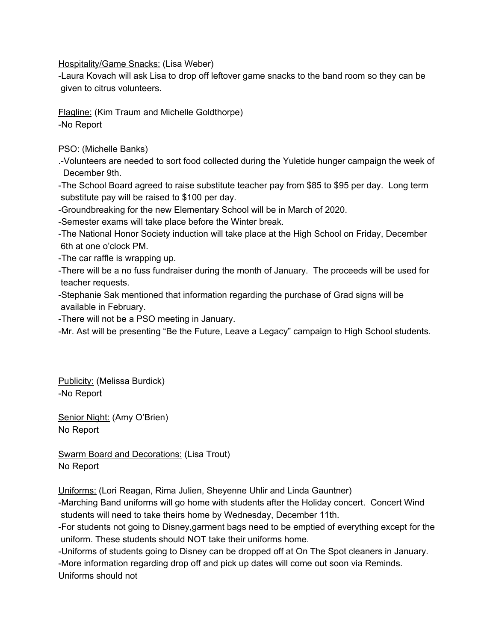Hospitality/Game Snacks: (Lisa Weber)

-Laura Kovach will ask Lisa to drop off leftover game snacks to the band room so they can be given to citrus volunteers.

Flagline: (Kim Traum and Michelle Goldthorpe) -No Report

PSO: (Michelle Banks)

.-Volunteers are needed to sort food collected during the Yuletide hunger campaign the week of December 9th.

-The School Board agreed to raise substitute teacher pay from \$85 to \$95 per day. Long term substitute pay will be raised to \$100 per day.

-Groundbreaking for the new Elementary School will be in March of 2020.

-Semester exams will take place before the Winter break.

-The National Honor Society induction will take place at the High School on Friday, December 6th at one o'clock PM.

-The car raffle is wrapping up.

-There will be a no fuss fundraiser during the month of January. The proceeds will be used for teacher requests.

-Stephanie Sak mentioned that information regarding the purchase of Grad signs will be available in February.

-There will not be a PSO meeting in January.

-Mr. Ast will be presenting "Be the Future, Leave a Legacy" campaign to High School students.

Publicity: (Melissa Burdick) -No Report

Senior Night: (Amy O'Brien) No Report

Swarm Board and Decorations: (Lisa Trout) No Report

Uniforms: (Lori Reagan, Rima Julien, Sheyenne Uhlir and Linda Gauntner)

-Marching Band uniforms will go home with students after the Holiday concert. Concert Wind students will need to take theirs home by Wednesday, December 11th.

-For students not going to Disney,garment bags need to be emptied of everything except for the uniform. These students should NOT take their uniforms home.

-Uniforms of students going to Disney can be dropped off at On The Spot cleaners in January. -More information regarding drop off and pick up dates will come out soon via Reminds. Uniforms should not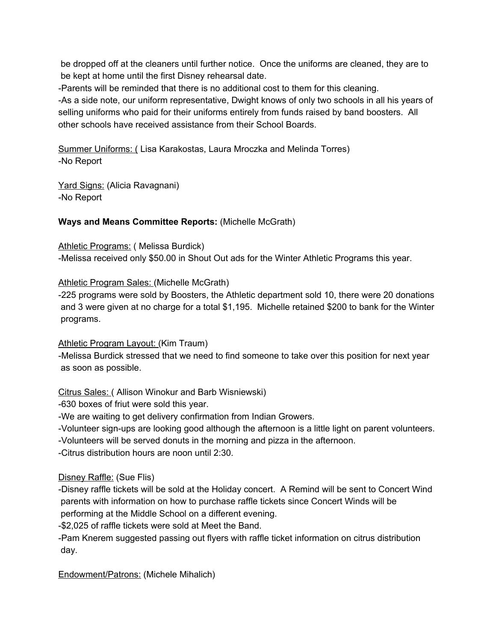be dropped off at the cleaners until further notice. Once the uniforms are cleaned, they are to be kept at home until the first Disney rehearsal date.

-Parents will be reminded that there is no additional cost to them for this cleaning.

-As a side note, our uniform representative, Dwight knows of only two schools in all his years of selling uniforms who paid for their uniforms entirely from funds raised by band boosters. All other schools have received assistance from their School Boards.

Summer Uniforms: ( Lisa Karakostas, Laura Mroczka and Melinda Torres) -No Report

Yard Signs: (Alicia Ravagnani) -No Report

### **Ways and Means Committee Reports:** (Michelle McGrath)

Athletic Programs: ( Melissa Burdick)

-Melissa received only \$50.00 in Shout Out ads for the Winter Athletic Programs this year.

### Athletic Program Sales: (Michelle McGrath)

-225 programs were sold by Boosters, the Athletic department sold 10, there were 20 donations and 3 were given at no charge for a total \$1,195. Michelle retained \$200 to bank for the Winter programs.

### Athletic Program Layout: (Kim Traum)

-Melissa Burdick stressed that we need to find someone to take over this position for next year as soon as possible.

# Citrus Sales: ( Allison Winokur and Barb Wisniewski)

-630 boxes of friut were sold this year.

-We are waiting to get delivery confirmation from Indian Growers.

-Volunteer sign-ups are looking good although the afternoon is a little light on parent volunteers.

-Volunteers will be served donuts in the morning and pizza in the afternoon.

-Citrus distribution hours are noon until 2:30.

# Disney Raffle: (Sue Flis)

-Disney raffle tickets will be sold at the Holiday concert. A Remind will be sent to Concert Wind parents with information on how to purchase raffle tickets since Concert Winds will be performing at the Middle School on a different evening.

-\$2,025 of raffle tickets were sold at Meet the Band.

-Pam Knerem suggested passing out flyers with raffle ticket information on citrus distribution day.

Endowment/Patrons: (Michele Mihalich)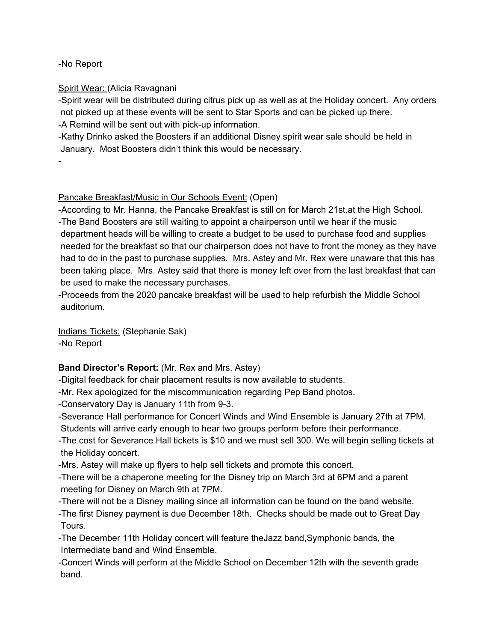-No Report

### Spirit Wear: (Alicia Ravagnani

-Spirit wear will be distributed during citrus pick up as well as at the Holiday concert. Any orders not picked up at these events will be sent to Star Sports and can be picked up there. -A Remind will be sent out with pick-up information.

-Kathy Drinko asked the Boosters if an additional Disney spirit wear sale should be held in January. Most Boosters didn't think this would be necessary.

-

### Pancake Breakfast/Music in Our Schools Event: (Open)

-According to Mr. Hanna, the Pancake Breakfast is still on for March 21st.at the High School. -The Band Boosters are still waiting to appoint a chairperson until we hear if the music department heads will be willing to create a budget to be used to purchase food and supplies needed for the breakfast so that our chairperson does not have to front the money as they have had to do in the past to purchase supplies. Mrs. Astey and Mr. Rex were unaware that this has been taking place. Mrs. Astey said that there is money left over from the last breakfast that can be used to make the necessary purchases.

-Proceeds from the 2020 pancake breakfast will be used to help refurbish the Middle School auditorium.

Indians Tickets: (Stephanie Sak)

-No Report

# **Band Director's Report:** (Mr. Rex and Mrs. Astey)

-Digital feedback for chair placement results is now available to students.

-Mr. Rex apologized for the miscommunication regarding Pep Band photos.

-Conservatory Day is January 11th from 9-3.

-Severance Hall performance for Concert Winds and Wind Ensemble is January 27th at 7PM. Students will arrive early enough to hear two groups perform before their performance.

-The cost for Severance Hall tickets is \$10 and we must sell 300. We will begin selling tickets at the Holiday concert.

-Mrs. Astey will make up flyers to help sell tickets and promote this concert.

-There will be a chaperone meeting for the Disney trip on March 3rd at 6PM and a parent meeting for Disney on March 9th at 7PM.

-There will not be a Disney mailing since all information can be found on the band website.

-The first Disney payment is due December 18th. Checks should be made out to Great Day Tours.

-The December 11th Holiday concert will feature theJazz band,Symphonic bands, the Intermediate band and Wind Ensemble.

-Concert Winds will perform at the Middle School on December 12th with the seventh grade band.